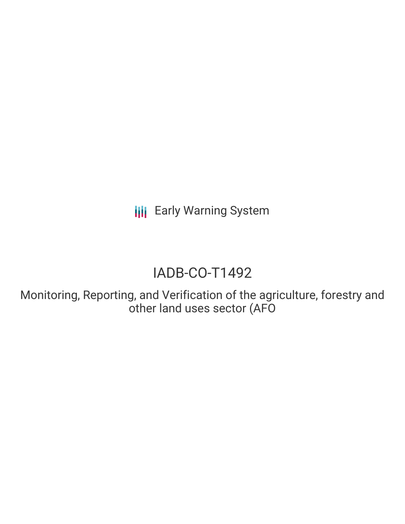**III** Early Warning System

# IADB-CO-T1492

Monitoring, Reporting, and Verification of the agriculture, forestry and other land uses sector (AFO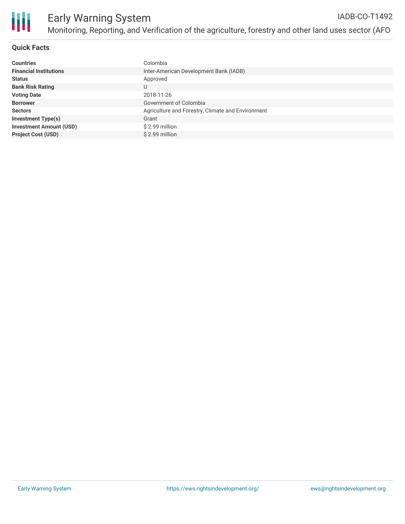

#### **Quick Facts**

| <b>Countries</b>               | Colombia                                          |
|--------------------------------|---------------------------------------------------|
| <b>Financial Institutions</b>  | Inter-American Development Bank (IADB)            |
| <b>Status</b>                  | Approved                                          |
| <b>Bank Risk Rating</b>        | U                                                 |
| <b>Voting Date</b>             | 2018-11-26                                        |
| <b>Borrower</b>                | Government of Colombia                            |
| <b>Sectors</b>                 | Agriculture and Forestry, Climate and Environment |
| <b>Investment Type(s)</b>      | Grant                                             |
| <b>Investment Amount (USD)</b> | \$2.99 million                                    |
| <b>Project Cost (USD)</b>      | $$2.99$ million                                   |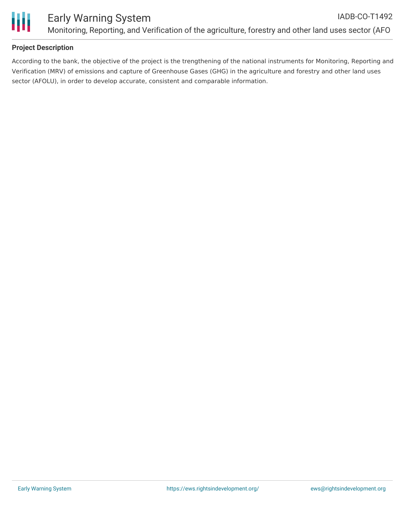

### **Project Description**

According to the bank, the objective of the project is the trengthening of the national instruments for Monitoring, Reporting and Verification (MRV) of emissions and capture of Greenhouse Gases (GHG) in the agriculture and forestry and other land uses sector (AFOLU), in order to develop accurate, consistent and comparable information.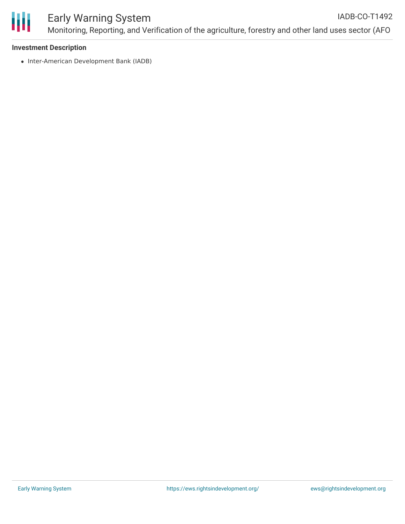

#### Early Warning System Monitoring, Reporting, and Verification of the agriculture, forestry and other land uses sector (AFO IADB-CO-T1492

#### **Investment Description**

• Inter-American Development Bank (IADB)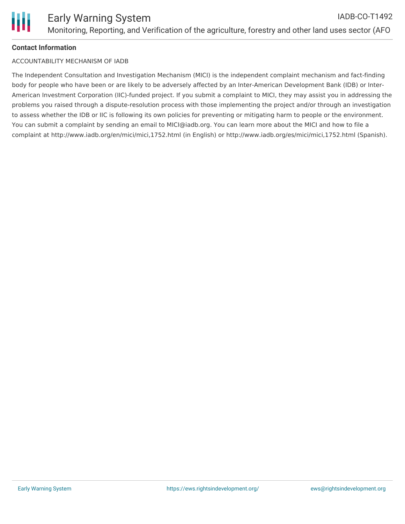#### **Contact Information**

#### ACCOUNTABILITY MECHANISM OF IADB

The Independent Consultation and Investigation Mechanism (MICI) is the independent complaint mechanism and fact-finding body for people who have been or are likely to be adversely affected by an Inter-American Development Bank (IDB) or Inter-American Investment Corporation (IIC)-funded project. If you submit a complaint to MICI, they may assist you in addressing the problems you raised through a dispute-resolution process with those implementing the project and/or through an investigation to assess whether the IDB or IIC is following its own policies for preventing or mitigating harm to people or the environment. You can submit a complaint by sending an email to MICI@iadb.org. You can learn more about the MICI and how to file a complaint at http://www.iadb.org/en/mici/mici,1752.html (in English) or http://www.iadb.org/es/mici/mici,1752.html (Spanish).